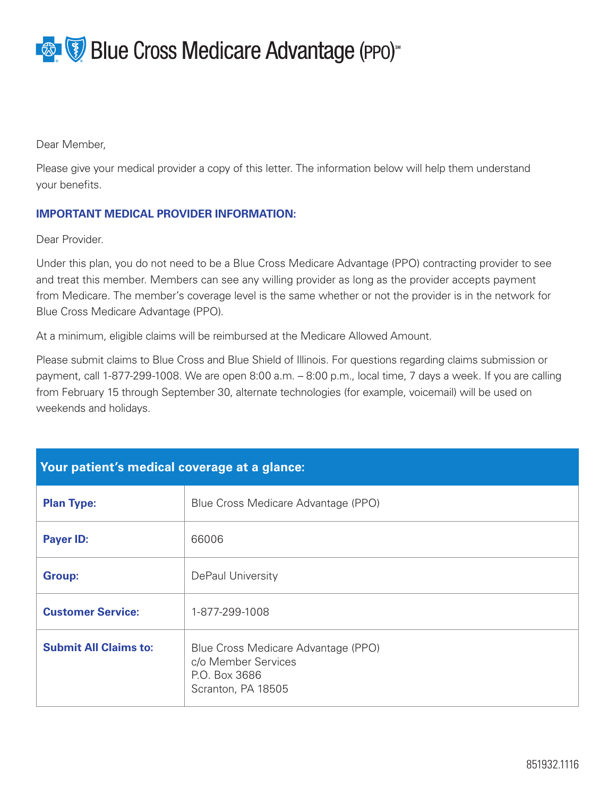**Blue Cross Medicare Advantage (PPO)** 

Dear Member,

Please give your medical provider a copy of this letter. The information below will help them understand your benefits.

## **IMPORTANT MEDICAL PROVIDER INFORMATION:**

Dear Provider.

Under this plan, you do not need to be a Blue Cross Medicare Advantage (PPO) contracting provider to see and treat this member. Members can see any willing provider as long as the provider accepts payment from Medicare. The member's coverage level is the same whether or not the provider is in the network for Blue Cross Medicare Advantage (PPO).

At a minimum, eligible claims will be reimbursed at the Medicare Allowed Amount.

Please submit claims to Blue Cross and Blue Shield of Illinois. For questions regarding claims submission or payment, call 1-877-299-1008. We are open 8:00 a.m. – 8:00 p.m., local time, 7 days a week. If you are calling from February 15 through September 30, alternate technologies (for example, voicemail) will be used on weekends and holidays.

| Your patient's medical coverage at a glance: |                                                                                                   |
|----------------------------------------------|---------------------------------------------------------------------------------------------------|
| <b>Plan Type:</b>                            | Blue Cross Medicare Advantage (PPO)                                                               |
| <b>Payer ID:</b>                             | 66006                                                                                             |
| <b>Group:</b>                                | DePaul University                                                                                 |
| <b>Customer Service:</b>                     | 1-877-299-1008                                                                                    |
| <b>Submit All Claims to:</b>                 | Blue Cross Medicare Advantage (PPO)<br>c/o Member Services<br>P.O. Box 3686<br>Scranton, PA 18505 |